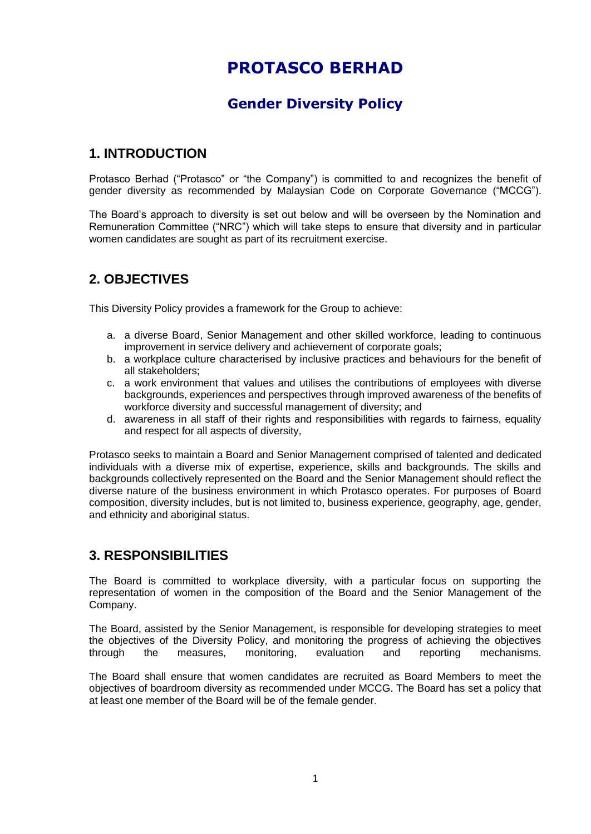# **PROTASCO BERHAD**

## **Gender Diversity Policy**

#### **1. INTRODUCTION**

Protasco Berhad ("Protasco" or "the Company") is committed to and recognizes the benefit of gender diversity as recommended by Malaysian Code on Corporate Governance ("MCCG").

The Board's approach to diversity is set out below and will be overseen by the Nomination and Remuneration Committee ("NRC") which will take steps to ensure that diversity and in particular women candidates are sought as part of its recruitment exercise.

#### **2. OBJECTIVES**

This Diversity Policy provides a framework for the Group to achieve:

- a. a diverse Board, Senior Management and other skilled workforce, leading to continuous improvement in service delivery and achievement of corporate goals;
- b. a workplace culture characterised by inclusive practices and behaviours for the benefit of all stakeholders;
- c. a work environment that values and utilises the contributions of employees with diverse backgrounds, experiences and perspectives through improved awareness of the benefits of workforce diversity and successful management of diversity; and
- d. awareness in all staff of their rights and responsibilities with regards to fairness, equality and respect for all aspects of diversity,

Protasco seeks to maintain a Board and Senior Management comprised of talented and dedicated individuals with a diverse mix of expertise, experience, skills and backgrounds. The skills and backgrounds collectively represented on the Board and the Senior Management should reflect the diverse nature of the business environment in which Protasco operates. For purposes of Board composition, diversity includes, but is not limited to, business experience, geography, age, gender, and ethnicity and aboriginal status.

#### **3. RESPONSIBILITIES**

The Board is committed to workplace diversity, with a particular focus on supporting the representation of women in the composition of the Board and the Senior Management of the Company.

The Board, assisted by the Senior Management, is responsible for developing strategies to meet the objectives of the Diversity Policy, and monitoring the progress of achieving the objectives through the measures, monitoring, evaluation and reporting mechanisms.

The Board shall ensure that women candidates are recruited as Board Members to meet the objectives of boardroom diversity as recommended under MCCG. The Board has set a policy that at least one member of the Board will be of the female gender.